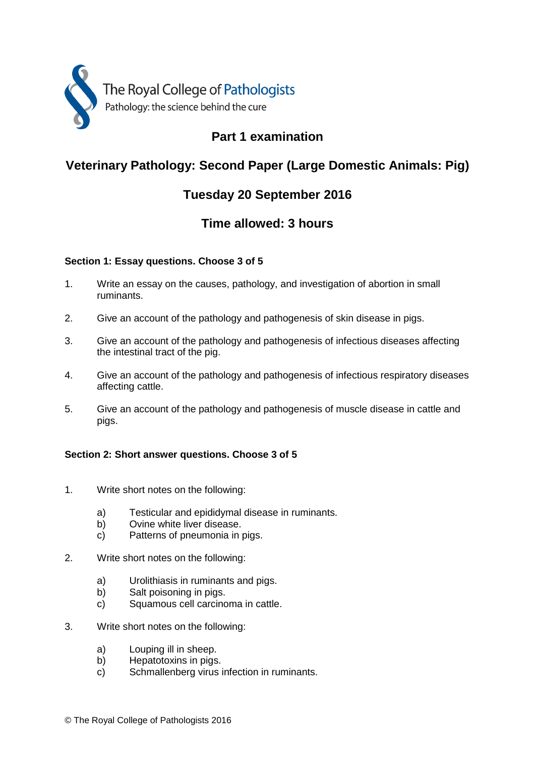

### **Part 1 examination**

### **Veterinary Pathology: Second Paper (Large Domestic Animals: Pig)**

### **Tuesday 20 September 2016**

### **Time allowed: 3 hours**

#### **Section 1: Essay questions. Choose 3 of 5**

- 1. Write an essay on the causes, pathology, and investigation of abortion in small ruminants.
- 2. Give an account of the pathology and pathogenesis of skin disease in pigs.
- 3. Give an account of the pathology and pathogenesis of infectious diseases affecting the intestinal tract of the pig.
- 4. Give an account of the pathology and pathogenesis of infectious respiratory diseases affecting cattle.
- 5. Give an account of the pathology and pathogenesis of muscle disease in cattle and pigs.

#### **Section 2: Short answer questions. Choose 3 of 5**

- 1. Write short notes on the following:
	- a) Testicular and epididymal disease in ruminants.
	- b) Ovine white liver disease.
	- c) Patterns of pneumonia in pigs.
- 2. Write short notes on the following:
	- a) Urolithiasis in ruminants and pigs.
	- b) Salt poisoning in pigs.
	- c) Squamous cell carcinoma in cattle.
- 3. Write short notes on the following:
	- a) Louping ill in sheep.
	- b) Hepatotoxins in pigs.
	- c) Schmallenberg virus infection in ruminants.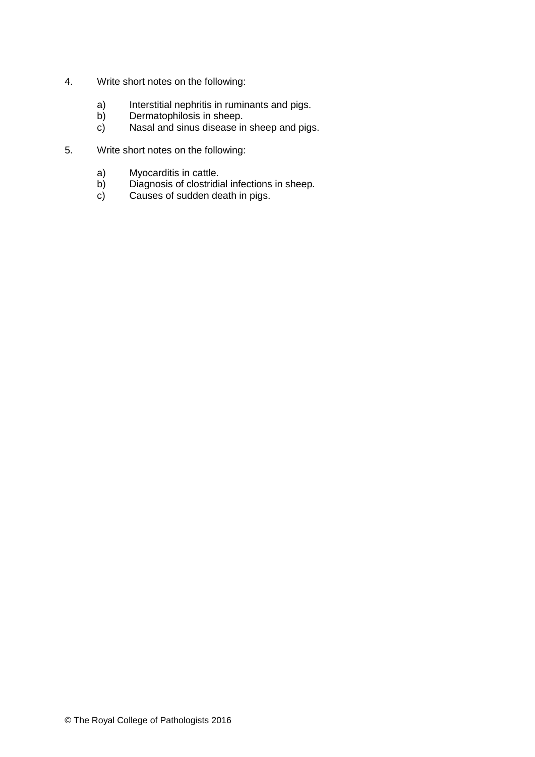- 4. Write short notes on the following:
	- a) Interstitial nephritis in ruminants and pigs.<br>b) Dermatophilosis in sheep.
	- b) Dermatophilosis in sheep.
	- c) Nasal and sinus disease in sheep and pigs.
- 5. Write short notes on the following:
	- a) Myocarditis in cattle.<br>b) Diagnosis of clostridia
	- b) Diagnosis of clostridial infections in sheep.<br>c) Causes of sudden death in pigs.
	- Causes of sudden death in pigs.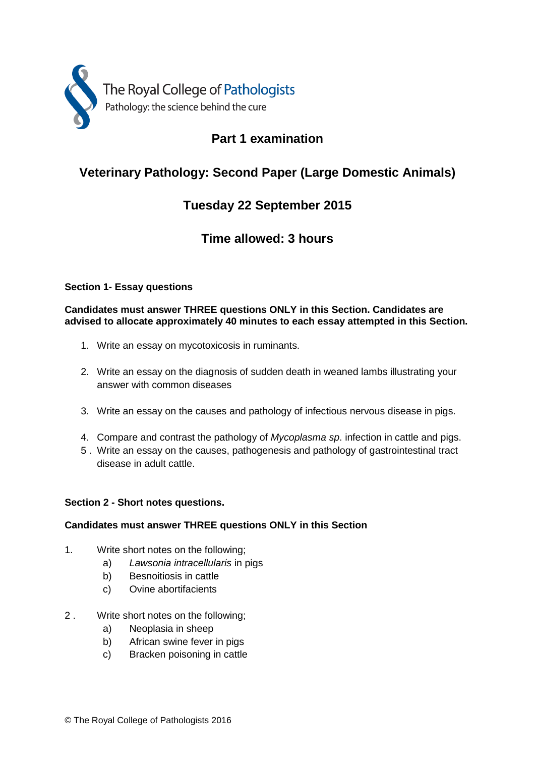

## **Part 1 examination**

# **Veterinary Pathology: Second Paper (Large Domestic Animals)**

### **Tuesday 22 September 2015**

### **Time allowed: 3 hours**

#### **Section 1- Essay questions**

**Candidates must answer THREE questions ONLY in this Section. Candidates are advised to allocate approximately 40 minutes to each essay attempted in this Section.**

- 1. Write an essay on mycotoxicosis in ruminants.
- 2. Write an essay on the diagnosis of sudden death in weaned lambs illustrating your answer with common diseases
- 3. Write an essay on the causes and pathology of infectious nervous disease in pigs.
- 4. Compare and contrast the pathology of *Mycoplasma sp*. infection in cattle and pigs.
- 5 . Write an essay on the causes, pathogenesis and pathology of gastrointestinal tract disease in adult cattle.

#### **Section 2 - Short notes questions.**

#### **Candidates must answer THREE questions ONLY in this Section**

- 1. Write short notes on the following;
	- a) *Lawsonia intracellularis* in pigs
	- b) Besnoitiosis in cattle
	- c) Ovine abortifacients
- 2 . Write short notes on the following;
	- a) Neoplasia in sheep
	- b) African swine fever in pigs
	- c) Bracken poisoning in cattle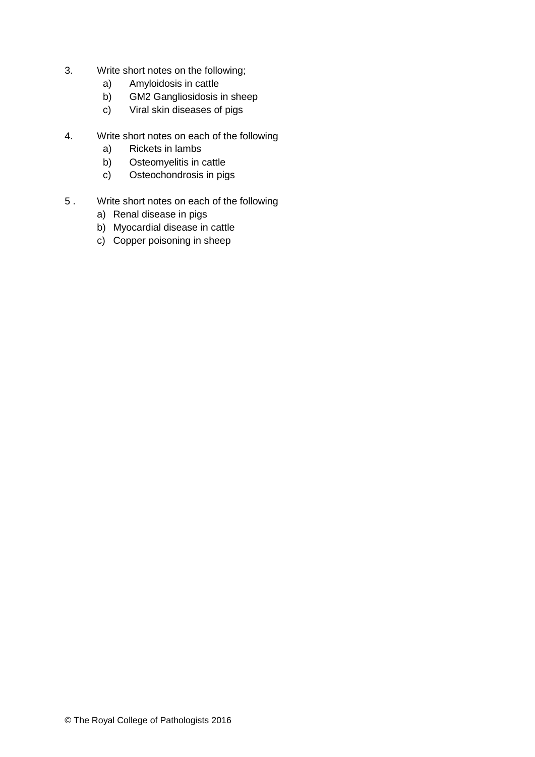- 3. Write short notes on the following;
	- a) Amyloidosis in cattle
	- b) GM2 Gangliosidosis in sheep
	- c) Viral skin diseases of pigs
- 4. Write short notes on each of the following
	- a) Rickets in lambs
	- b) Osteomyelitis in cattle
	- c) Osteochondrosis in pigs
- 5 . Write short notes on each of the following
	- a) Renal disease in pigs
	- b) Myocardial disease in cattle
	- c) Copper poisoning in sheep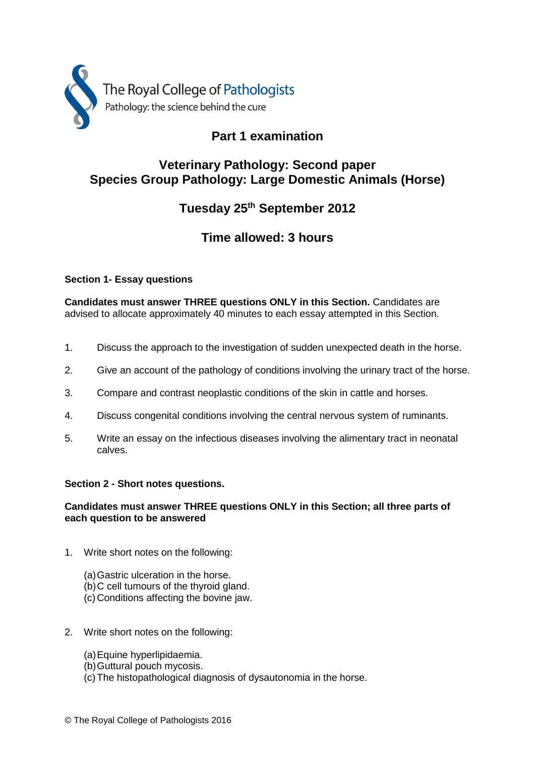

### **Part 1 examination**

### **Veterinary Pathology: Second paper Species Group Pathology: Large Domestic Animals (Horse)**

### **Tuesday 25 th September 2012**

### **Time allowed: 3 hours**

#### **Section 1- Essay questions**

**Candidates must answer THREE questions ONLY in this Section.** Candidates are advised to allocate approximately 40 minutes to each essay attempted in this Section.

- 1. Discuss the approach to the investigation of sudden unexpected death in the horse.
- 2. Give an account of the pathology of conditions involving the urinary tract of the horse.
- 3. Compare and contrast neoplastic conditions of the skin in cattle and horses.
- 4. Discuss congenital conditions involving the central nervous system of ruminants.
- 5. Write an essay on the infectious diseases involving the alimentary tract in neonatal calves.

#### **Section 2 - Short notes questions.**

#### **Candidates must answer THREE questions ONLY in this Section; all three parts of each question to be answered**

- 1. Write short notes on the following:
	- (a)Gastric ulceration in the horse.
	- (b)C cell tumours of the thyroid gland.
	- (c) Conditions affecting the bovine jaw.
- 2. Write short notes on the following:
	- (a)Equine hyperlipidaemia.
	- (b)Guttural pouch mycosis.
	- (c) The histopathological diagnosis of dysautonomia in the horse.